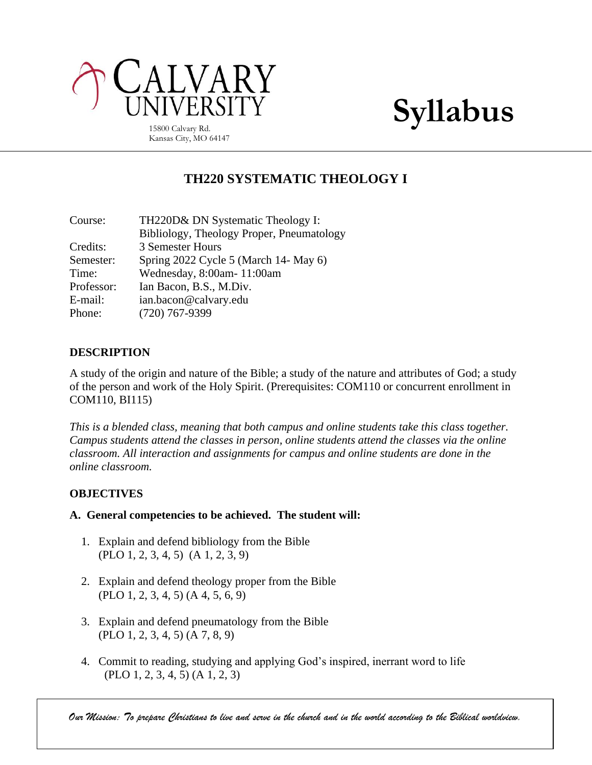

Kansas City, MO 64147

# **TH220 SYSTEMATIC THEOLOGY I**

| Course:    | TH220D& DN Systematic Theology I:         |
|------------|-------------------------------------------|
|            | Bibliology, Theology Proper, Pneumatology |
| Credits:   | 3 Semester Hours                          |
| Semester:  | Spring 2022 Cycle 5 (March 14- May 6)     |
| Time:      | Wednesday, 8:00am-11:00am                 |
| Professor: | Ian Bacon, B.S., M.Div.                   |
| E-mail:    | ian.bacon@calvary.edu                     |
| Phone:     | $(720)$ 767-9399                          |

# **DESCRIPTION**

A study of the origin and nature of the Bible; a study of the nature and attributes of God; a study of the person and work of the Holy Spirit. (Prerequisites: COM110 or concurrent enrollment in COM110, BI115)

*This is a blended class, meaning that both campus and online students take this class together. Campus students attend the classes in person, online students attend the classes via the online classroom. All interaction and assignments for campus and online students are done in the online classroom.*

# **OBJECTIVES**

#### **A. General competencies to be achieved. The student will:**

- 1. Explain and defend bibliology from the Bible (PLO 1, 2, 3, 4, 5) (A 1, 2, 3, 9)
- 2. Explain and defend theology proper from the Bible (PLO 1, 2, 3, 4, 5) (A 4, 5, 6, 9)
- 3. Explain and defend pneumatology from the Bible (PLO 1, 2, 3, 4, 5) (A 7, 8, 9)
- 4. Commit to reading, studying and applying God's inspired, inerrant word to life (PLO 1, 2, 3, 4, 5) (A 1, 2, 3)

*Our Mission: To prepare Christians to live and serve in the church and in the world according to the Biblical worldview.*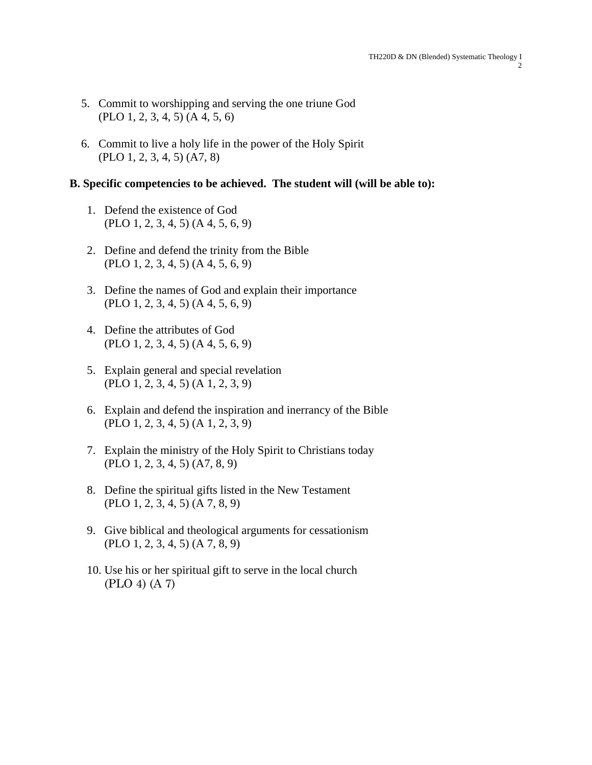- 5. Commit to worshipping and serving the one triune God (PLO 1, 2, 3, 4, 5) (A 4, 5, 6)
- 6. Commit to live a holy life in the power of the Holy Spirit (PLO 1, 2, 3, 4, 5) (A7, 8)

## **B. Specific competencies to be achieved. The student will (will be able to):**

- 1. Defend the existence of God (PLO 1, 2, 3, 4, 5) (A 4, 5, 6, 9)
- 2. Define and defend the trinity from the Bible (PLO 1, 2, 3, 4, 5) (A 4, 5, 6, 9)
- 3. Define the names of God and explain their importance (PLO 1, 2, 3, 4, 5) (A 4, 5, 6, 9)
- 4. Define the attributes of God (PLO 1, 2, 3, 4, 5) (A 4, 5, 6, 9)
- 5. Explain general and special revelation (PLO 1, 2, 3, 4, 5) (A 1, 2, 3, 9)
- 6. Explain and defend the inspiration and inerrancy of the Bible (PLO 1, 2, 3, 4, 5) (A 1, 2, 3, 9)
- 7. Explain the ministry of the Holy Spirit to Christians today (PLO 1, 2, 3, 4, 5) (A7, 8, 9)
- 8. Define the spiritual gifts listed in the New Testament (PLO 1, 2, 3, 4, 5) (A 7, 8, 9)
- 9. Give biblical and theological arguments for cessationism (PLO 1, 2, 3, 4, 5) (A 7, 8, 9)
- 10. Use his or her spiritual gift to serve in the local church (PLO 4) (A 7)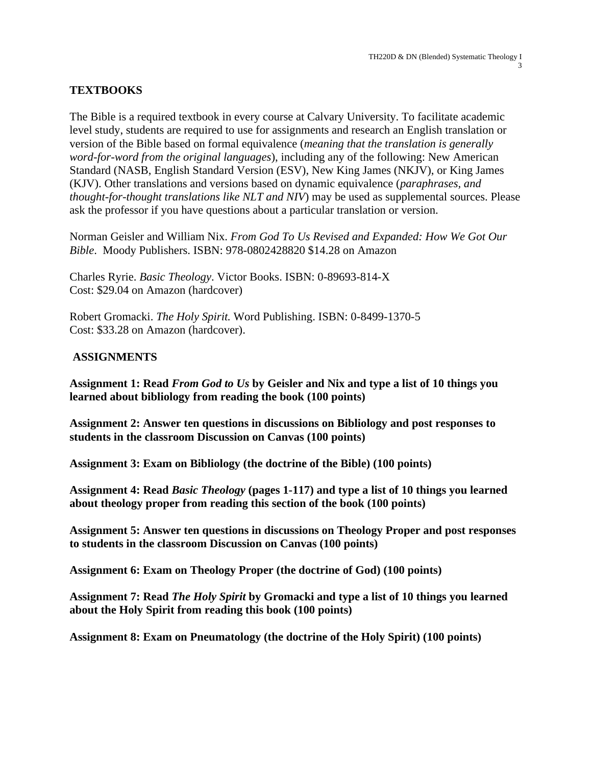# **TEXTBOOKS**

The Bible is a required textbook in every course at Calvary University. To facilitate academic level study, students are required to use for assignments and research an English translation or version of the Bible based on formal equivalence (*meaning that the translation is generally word-for-word from the original languages*), including any of the following: New American Standard (NASB, English Standard Version (ESV), New King James (NKJV), or King James (KJV). Other translations and versions based on dynamic equivalence (*paraphrases, and thought-for-thought translations like NLT and NIV*) may be used as supplemental sources. Please ask the professor if you have questions about a particular translation or version.

Norman Geisler and William Nix. *From God To Us Revised and Expanded: How We Got Our Bible*. Moody Publishers. ISBN: 978-0802428820 \$14.28 on Amazon

Charles Ryrie. *Basic Theology*. Victor Books. ISBN: 0-89693-814-X Cost: \$29.04 on Amazon (hardcover)

Robert Gromacki. *The Holy Spirit.* Word Publishing. ISBN: 0-8499-1370-5 Cost: \$33.28 on Amazon (hardcover).

#### **ASSIGNMENTS**

**Assignment 1: Read** *From God to Us* **by Geisler and Nix and type a list of 10 things you learned about bibliology from reading the book (100 points)**

**Assignment 2: Answer ten questions in discussions on Bibliology and post responses to students in the classroom Discussion on Canvas (100 points)**

**Assignment 3: Exam on Bibliology (the doctrine of the Bible) (100 points)**

**Assignment 4: Read** *Basic Theology* **(pages 1-117) and type a list of 10 things you learned about theology proper from reading this section of the book (100 points)**

**Assignment 5: Answer ten questions in discussions on Theology Proper and post responses to students in the classroom Discussion on Canvas (100 points)**

**Assignment 6: Exam on Theology Proper (the doctrine of God) (100 points)**

**Assignment 7: Read** *The Holy Spirit* **by Gromacki and type a list of 10 things you learned about the Holy Spirit from reading this book (100 points)**

**Assignment 8: Exam on Pneumatology (the doctrine of the Holy Spirit) (100 points)**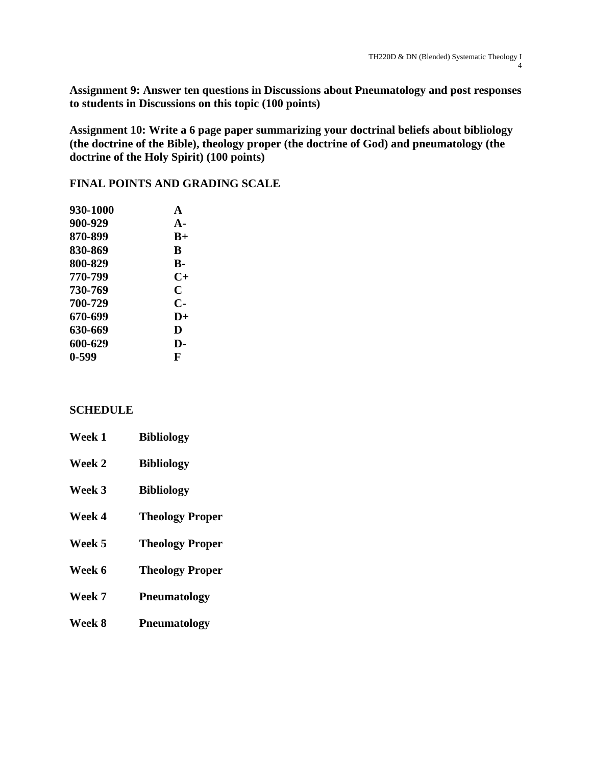**Assignment 9: Answer ten questions in Discussions about Pneumatology and post responses to students in Discussions on this topic (100 points)**

**Assignment 10: Write a 6 page paper summarizing your doctrinal beliefs about bibliology (the doctrine of the Bible), theology proper (the doctrine of God) and pneumatology (the doctrine of the Holy Spirit) (100 points)**

## **FINAL POINTS AND GRADING SCALE**

| 930-1000 | $\blacktriangle$ |
|----------|------------------|
| 900-929  | $A-$             |
| 870-899  | $B+$             |
| 830-869  | B                |
| 800-829  | В-               |
| 770-799  | $C+$             |
| 730-769  | C                |
| 700-729  | $\mathbf{C}$     |
| 670-699  | $\mathbf{D}+$    |
| 630-669  | D                |
| 600-629  | D-               |
| 0-599    | F                |

#### **SCHEDULE**

| Week 1 | <b>Bibliology</b>      |
|--------|------------------------|
| Week 2 | <b>Bibliology</b>      |
| Week 3 | <b>Bibliology</b>      |
| Week 4 | <b>Theology Proper</b> |
| Week 5 | <b>Theology Proper</b> |
| Week 6 | <b>Theology Proper</b> |
| Week 7 | <b>Pneumatology</b>    |
| Week 8 | <b>Pneumatology</b>    |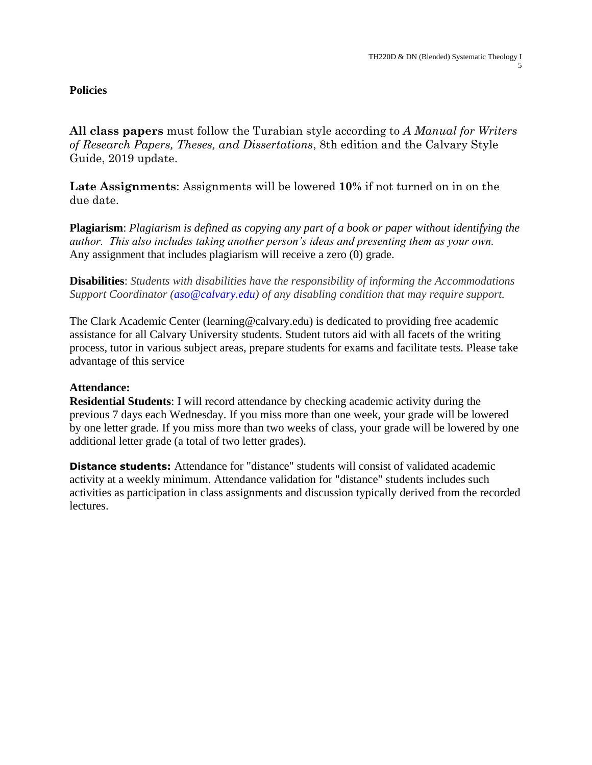# **Policies**

**All class papers** must follow the Turabian style according to *A Manual for Writers of Research Papers, Theses, and Dissertations*, 8th edition and the Calvary Style Guide, 2019 update.

**Late Assignments**: Assignments will be lowered **10%** if not turned on in on the due date.

**Plagiarism**: *Plagiarism is defined as copying any part of a book or paper without identifying the author. This also includes taking another person's ideas and presenting them as your own.*  Any assignment that includes plagiarism will receive a zero (0) grade.

**Disabilities**: *Students with disabilities have the responsibility of informing the Accommodations Support Coordinator (aso@calvary.edu) of any disabling condition that may require support.*

The Clark Academic Center (learning@calvary.edu) is dedicated to providing free academic assistance for all Calvary University students. Student tutors aid with all facets of the writing process, tutor in various subject areas, prepare students for exams and facilitate tests. Please take advantage of this service

## **Attendance:**

**Residential Students**: I will record attendance by checking academic activity during the previous 7 days each Wednesday. If you miss more than one week, your grade will be lowered by one letter grade. If you miss more than two weeks of class, your grade will be lowered by one additional letter grade (a total of two letter grades).

**Distance students:** Attendance for "distance" students will consist of validated academic activity at a weekly minimum. Attendance validation for "distance" students includes such activities as participation in class assignments and discussion typically derived from the recorded lectures.